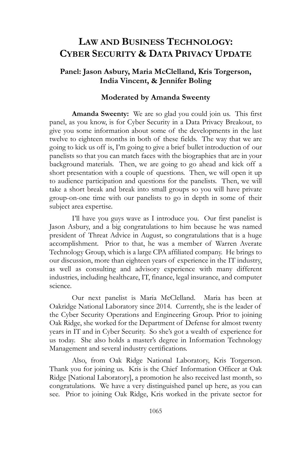# **LAW AND BUSINESS TECHNOLOGY: CYBER SECURITY & DATA PRIVACY UPDATE**

## **Panel: Jason Asbury, Maria McClelland, Kris Torgerson, India Vincent, & Jennifer Boling**

## **Moderated by Amanda Sweenty**

**Amanda Sweenty:** We are so glad you could join us. This first panel, as you know, is for Cyber Security in a Data Privacy Breakout, to give you some information about some of the developments in the last twelve to eighteen months in both of these fields. The way that we are going to kick us off is, I'm going to give a brief bullet introduction of our panelists so that you can match faces with the biographies that are in your background materials. Then, we are going to go ahead and kick off a short presentation with a couple of questions. Then, we will open it up to audience participation and questions for the panelists. Then, we will take a short break and break into small groups so you will have private group-on-one time with our panelists to go in depth in some of their subject area expertise.

I'll have you guys wave as I introduce you. Our first panelist is Jason Asbury, and a big congratulations to him because he was named president of Threat Advice in August, so congratulations that is a huge accomplishment. Prior to that, he was a member of Warren Averate Technology Group, which is a large CPA affiliated company. He brings to our discussion, more than eighteen years of experience in the IT industry, as well as consulting and advisory experience with many different industries, including healthcare, IT, finance, legal insurance, and computer science.

Our next panelist is Maria McClelland. Maria has been at Oakridge National Laboratory since 2014. Currently, she is the leader of the Cyber Security Operations and Engineering Group. Prior to joining Oak Ridge, she worked for the Department of Defense for almost twenty years in IT and in Cyber Security. So she's got a wealth of experience for us today. She also holds a master's degree in Information Technology Management and several industry certifications.

Also, from Oak Ridge National Laboratory, Kris Torgerson. Thank you for joining us. Kris is the Chief Information Officer at Oak Ridge [National Laboratory], a promotion he also received last month, so congratulations. We have a very distinguished panel up here, as you can see. Prior to joining Oak Ridge, Kris worked in the private sector for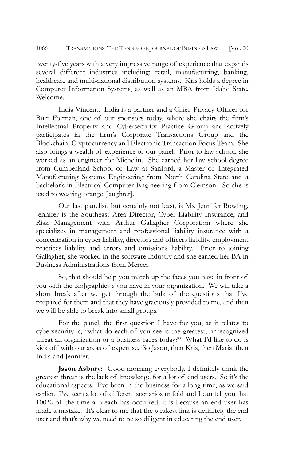twenty-five years with a very impressive range of experience that expands several different industries including: retail, manufacturing, banking, healthcare and multi-national distribution systems. Kris holds a degree in Computer Information Systems, as well as an MBA from Idaho State. Welcome.

India Vincent. India is a partner and a Chief Privacy Officer for Burr Forman, one of our sponsors today, where she chairs the firm's Intellectual Property and Cybersecurity Practice Group and actively participates in the firm's Corporate Transactions Group and the Blockchain, Cryptocurrency and Electronic Transaction Focus Team. She also brings a wealth of experience to our panel. Prior to law school, she worked as an engineer for Michelin. She earned her law school degree from Cumberland School of Law at Sanford, a Master of Integrated Manufacturing Systems Engineering from North Carolina State and a bachelor's in Electrical Computer Engineering from Clemson. So she is used to wearing orange [laughter].

Our last panelist, but certainly not least, is Ms. Jennifer Bowling. Jennifer is the Southeast Area Director, Cyber Liability Insurance, and Risk Management with Arthur Gallagher Corporation where she specializes in management and professional liability insurance with a concentration in cyber liability, directors and officers liability, employment practices liability and errors and omissions liability. Prior to joining Gallagher, she worked in the software industry and she earned her BA in Business Administrations from Mercer.

So, that should help you match up the faces you have in front of you with the bio[graphies]s you have in your organization. We will take a short break after we get through the bulk of the questions that I've prepared for them and that they have graciously provided to me, and then we will be able to break into small groups.

For the panel, the first question I have for you, as it relates to cybersecurity is, "what do each of you see is the greatest, unrecognized threat an organization or a business faces today?" What I'd like to do is kick off with our areas of expertise. So Jason, then Kris, then Maria, then India and Jennifer.

**Jason Asbury:** Good morning everybody. I definitely think the greatest threat is the lack of knowledge for a lot of end users. So it's the educational aspects. I've been in the business for a long time, as we said earlier. I've seen a lot of different scenarios unfold and I can tell you that 100% of the time a breach has occurred, it is because an end user has made a mistake. It's clear to me that the weakest link is definitely the end user and that's why we need to be so diligent in educating the end user.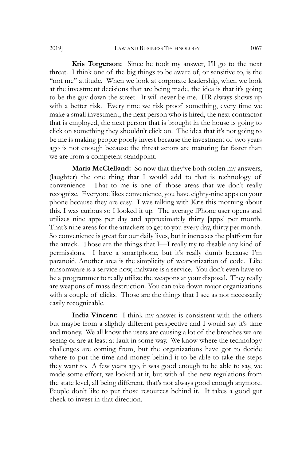**Kris Torgerson:** Since he took my answer, I'll go to the next threat. I think one of the big things to be aware of, or sensitive to, is the "not me" attitude. When we look at corporate leadership, when we look at the investment decisions that are being made, the idea is that it's going to be the guy down the street. It will never be me. HR always shows up with a better risk. Every time we risk proof something, every time we make a small investment, the next person who is hired, the next contractor that is employed, the next person that is brought in the house is going to click on something they shouldn't click on. The idea that it's not going to be me is making people poorly invest because the investment of two years ago is not enough because the threat actors are maturing far faster than we are from a competent standpoint.

**Maria McClelland:** So now that they've both stolen my answers, (laughter) the one thing that I would add to that is technology of convenience. That to me is one of those areas that we don't really recognize. Everyone likes convenience, you have eighty-nine apps on your phone because they are easy. I was talking with Kris this morning about this. I was curious so I looked it up. The average iPhone user opens and utilizes nine apps per day and approximately thirty [apps] per month. That's nine areas for the attackers to get to you every day, thirty per month. So convenience is great for our daily lives, but it increases the platform for the attack. Those are the things that I—I really try to disable any kind of permissions. I have a smartphone, but it's really dumb because I'm paranoid. Another area is the simplicity of weaponization of code. Like ransomware is a service now, malware is a service. You don't even have to be a programmer to really utilize the weapons at your disposal. They really are weapons of mass destruction. You can take down major organizations with a couple of clicks. Those are the things that I see as not necessarily easily recognizable.

**India Vincent:** I think my answer is consistent with the others but maybe from a slightly different perspective and I would say it's time and money. We all know the users are causing a lot of the breaches we are seeing or are at least at fault in some way. We know where the technology challenges are coming from, but the organizations have got to decide where to put the time and money behind it to be able to take the steps they want to. A few years ago, it was good enough to be able to say, we made some effort, we looked at it, but with all the new regulations from the state level, all being different, that's not always good enough anymore. People don't like to put those resources behind it. It takes a good gut check to invest in that direction.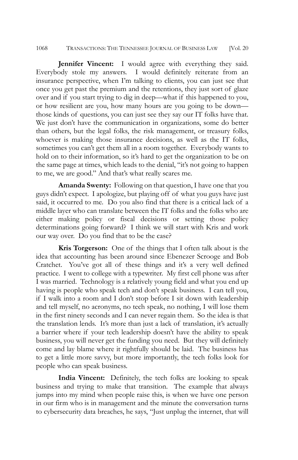#### 1068 TRANSACTIONS: THE TENNESSEE JOURNAL OF BUSINESS LAW [Vol. 20

**Jennifer Vincent:** I would agree with everything they said. Everybody stole my answers. I would definitely reiterate from an insurance perspective, when I'm talking to clients, you can just see that once you get past the premium and the retentions, they just sort of glaze over and if you start trying to dig in deep—what if this happened to you, or how resilient are you, how many hours are you going to be down those kinds of questions, you can just see they say our IT folks have that. We just don't have the communication in organizations, some do better than others, but the legal folks, the risk management, or treasury folks, whoever is making those insurance decisions, as well as the IT folks, sometimes you can't get them all in a room together. Everybody wants to hold on to their information, so it's hard to get the organization to be on the same page at times, which leads to the denial, "it's not going to happen to me, we are good." And that's what really scares me.

**Amanda Swenty:** Following on that question, I have one that you guys didn't expect. I apologize, but playing off of what you guys have just said, it occurred to me. Do you also find that there is a critical lack of a middle layer who can translate between the IT folks and the folks who are either making policy or fiscal decisions or setting those policy determinations going forward? I think we will start with Kris and work our way over. Do you find that to be the case?

**Kris Torgerson:** One of the things that I often talk about is the idea that accounting has been around since Ebenezer Scrooge and Bob Cratchet. You've got all of these things and it's a very well defined practice. I went to college with a typewriter. My first cell phone was after I was married. Technology is a relatively young field and what you end up having is people who speak tech and don't speak business. I can tell you, if I walk into a room and I don't stop before I sit down with leadership and tell myself, no acronyms, no tech speak, no nothing, I will lose them in the first ninety seconds and I can never regain them. So the idea is that the translation lends. It's more than just a lack of translation, it's actually a barrier where if your tech leadership doesn't have the ability to speak business, you will never get the funding you need. But they will definitely come and lay blame where it rightfully should be laid. The business has to get a little more savvy, but more importantly, the tech folks look for people who can speak business.

**India Vincent:** Definitely, the tech folks are looking to speak business and trying to make that transition. The example that always jumps into my mind when people raise this, is when we have one person in our firm who is in management and the minute the conversation turns to cybersecurity data breaches, he says, "Just unplug the internet, that will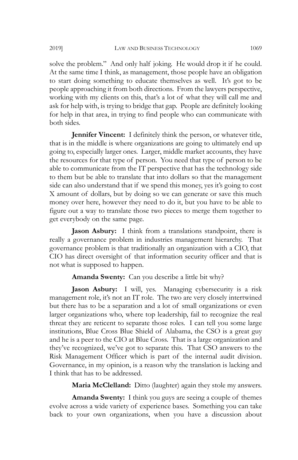solve the problem." And only half joking. He would drop it if he could. At the same time I think, as management, those people have an obligation to start doing something to educate themselves as well. It's got to be people approaching it from both directions. From the lawyers perspective, working with my clients on this, that's a lot of what they will call me and ask for help with, is trying to bridge that gap. People are definitely looking for help in that area, in trying to find people who can communicate with both sides.

**Jennifer Vincent:** I definitely think the person, or whatever title, that is in the middle is where organizations are going to ultimately end up going to, especially larger ones. Larger, middle market accounts, they have the resources for that type of person. You need that type of person to be able to communicate from the IT perspective that has the technology side to them but be able to translate that into dollars so that the management side can also understand that if we spend this money, yes it's going to cost X amount of dollars, but by doing so we can generate or save this much money over here, however they need to do it, but you have to be able to figure out a way to translate those two pieces to merge them together to get everybody on the same page.

**Jason Asbury:** I think from a translations standpoint, there is really a governance problem in industries management hierarchy. That governance problem is that traditionally an organization with a CIO, that CIO has direct oversight of that information security officer and that is not what is supposed to happen.

**Amanda Swenty:** Can you describe a little bit why?

**Jason Asbury:** I will, yes. Managing cybersecurity is a risk management role, it's not an IT role. The two are very closely intertwined but there has to be a separation and a lot of small organizations or even larger organizations who, where top leadership, fail to recognize the real threat they are reticent to separate those roles. I can tell you some large institutions, Blue Cross Blue Shield of Alabama, the CSO is a great guy and he is a peer to the CIO at Blue Cross. That is a large organization and they've recognized, we've got to separate this. That CSO answers to the Risk Management Officer which is part of the internal audit division. Governance, in my opinion, is a reason why the translation is lacking and I think that has to be addressed.

**Maria McClelland:** Ditto (laughter) again they stole my answers.

**Amanda Swenty:** I think you guys are seeing a couple of themes evolve across a wide variety of experience bases. Something you can take back to your own organizations, when you have a discussion about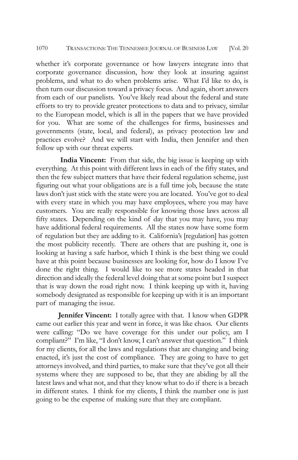whether it's corporate governance or how lawyers integrate into that corporate governance discussion, how they look at insuring against problems, and what to do when problems arise. What I'd like to do, is then turn our discussion toward a privacy focus. And again, short answers from each of our panelists. You've likely read about the federal and state efforts to try to provide greater protections to data and to privacy, similar to the European model, which is all in the papers that we have provided for you. What are some of the challenges for firms, businesses and governments (state, local, and federal), as privacy protection law and practices evolve? And we will start with India, then Jennifer and then follow up with our threat experts.

**India Vincent:** From that side, the big issue is keeping up with everything. At this point with different laws in each of the fifty states, and then the few subject matters that have their federal regulation scheme, just figuring out what your obligations are is a full time job, because the state laws don't just stick with the state were you are located. You've got to deal with every state in which you may have employees, where you may have customers. You are really responsible for knowing those laws across all fifty states. Depending on the kind of day that you may have, you may have additional federal requirements. All the states now have some form of regulation but they are adding to it. California's [regulation] has gotten the most publicity recently. There are others that are pushing it, one is looking at having a safe harbor, which I think is the best thing we could have at this point because businesses are looking for, how do I know I've done the right thing. I would like to see more states headed in that direction and ideally the federal level doing that at some point but I suspect that is way down the road right now. I think keeping up with it, having somebody designated as responsible for keeping up with it is an important part of managing the issue.

**Jennifer Vincent:** I totally agree with that. I know when GDPR came out earlier this year and went in force, it was like chaos. Our clients were calling: "Do we have coverage for this under our policy, am I compliant?" I'm like, "I don't know, I can't answer that question." I think for my clients, for all the laws and regulations that are changing and being enacted, it's just the cost of compliance. They are going to have to get attorneys involved, and third parties, to make sure that they've got all their systems where they are supposed to be, that they are abiding by all the latest laws and what not, and that they know what to do if there is a breach in different states. I think for my clients, I think the number one is just going to be the expense of making sure that they are compliant.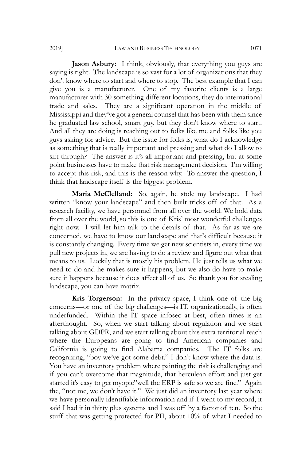**Jason Asbury:** I think, obviously, that everything you guys are saying is right. The landscape is so vast for a lot of organizations that they don't know where to start and where to stop. The best example that I can give you is a manufacturer. One of my favorite clients is a large manufacturer with 30 something different locations, they do international trade and sales. They are a significant operation in the middle of Mississippi and they've got a general counsel that has been with them since he graduated law school, smart guy, but they don't know where to start. And all they are doing is reaching out to folks like me and folks like you guys asking for advice. But the issue for folks is, what do I acknowledge as something that is really important and pressing and what do I allow to sift through? The answer is it's all important and pressing, but at some point businesses have to make that risk management decision. I'm willing to accept this risk, and this is the reason why. To answer the question, I think that landscape itself is the biggest problem.

**Maria McClelland:** So, again, he stole my landscape. I had written "know your landscape" and then built tricks off of that. As a research facility, we have personnel from all over the world. We hold data from all over the world, so this is one of Kris' most wonderful challenges right now. I will let him talk to the details of that. As far as we are concerned, we have to know our landscape and that's difficult because it is constantly changing. Every time we get new scientists in, every time we pull new projects in, we are having to do a review and figure out what that means to us. Luckily that is mostly his problem. He just tells us what we need to do and he makes sure it happens, but we also do have to make sure it happens because it does affect all of us. So thank you for stealing landscape, you can have matrix.

**Kris Torgerson:** In the privacy space, I think one of the big concerns—or one of the big challenges—is IT, organizationally, is often underfunded. Within the IT space infosec at best, often times is an afterthought. So, when we start talking about regulation and we start talking about GDPR, and we start talking about this extra territorial reach where the Europeans are going to find American companies and California is going to find Alabama companies. The IT folks are recognizing, "boy we've got some debt." I don't know where the data is. You have an inventory problem where painting the risk is challenging and if you can't overcome that magnitude, that herculean effort and just get started it's easy to get myopic"well the ERP is safe so we are fine." Again the, "not me, we don't have it." We just did an inventory last year where we have personally identifiable information and if I went to my record, it said I had it in thirty plus systems and I was off by a factor of ten. So the stuff that was getting protected for PII, about 10% of what I needed to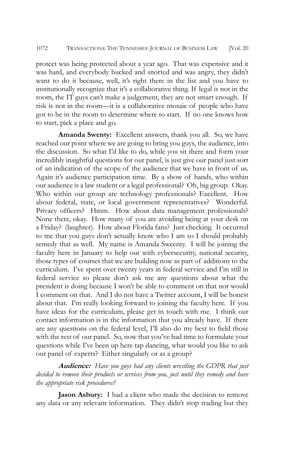protect was being protected about a year ago. That was expensive and it was hard, and everybody bucked and snorted and was angry, they didn't want to do it because, well, it's right there in the list and you have to institutionally recognize that it's a collaborative thing. If legal is not in the room, the IT guys can't make a judgement, they are not smart enough. If risk is not in the room—it is a collaborative mosaic of people who have got to be in the room to determine where to start. If no one knows how to start, pick a place and go.

**Amanda Swenty:** Excellent answers, thank you all. So, we have reached our point where we are going to bring you guys, the audience, into the discussion. So what I'd like to do, while you sit there and form your incredibly insightful questions for our panel, is just give our panel just sort of an indication of the scope of the audience that we have in front of us. Again it's audience participation time. By a show of hands, who within our audience is a law student or a legal professional? Oh, big group. Okay. Who within our group are technology professionals? Excellent. How about federal, state, or local government representatives? Wonderful. Privacy officers? Hmm. How about data management professionals? None there, okay. How many of you are avoiding being at your desk on a Friday? (laughter). How about Florida fans? Just checking. It occurred to me that you guys don't actually know who I am so I should probably remedy that as well. My name is Amanda Sweenty. I will be joining the faculty here in January to help out with cybersecurity, national security, those types of courses that we are building now as part of additions to the curriculum. I've spent over twenty years in federal service and I'm still in federal service so please don't ask me any questions about what the president is doing because I won't be able to comment on that nor would I comment on that. And I do not have a Twitter account, I will be honest about that. I'm really looking forward to joining the faculty here. If you have ideas for the curriculum, please get in touch with me. I think our contact information is in the information that you already have. If there are any questions on the federal level, I'll also do my best to field those with the rest of our panel. So, now that you've had time to formulate your questions while I've been up here tap dancing, what would you like to ask our panel of experts? Either singularly or as a group?

**Audience:** *Have you guys had any clients wrestling the GDPR that just decided to remove their products or services from you, just until they remedy and have the appropriate risk procedures?*

**Jason Asbury:** I had a client who made the decision to remove any data or any relevant information. They didn't stop trading but they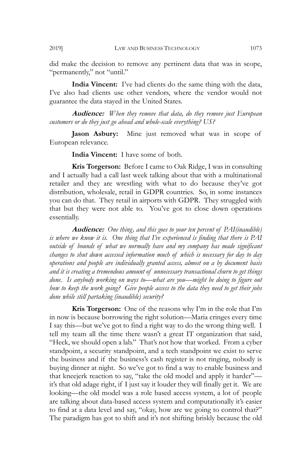did make the decision to remove any pertinent data that was in scope, "permanently," not "until."

**India Vincent:** I've had clients do the same thing with the data, I've also had clients use other vendors, where the vendor would not guarantee the data stayed in the United States.

**Audience:** *When they remove that data, do they remove just European customers or do they just go ahead and whole-scale everything? US?*

**Jason Asbury:** Mine just removed what was in scope of European relevance.

**India Vincent:** I have some of both.

**Kris Torgerson:** Before I came to Oak Ridge, I was in consulting and I actually had a call last week talking about that with a multinational retailer and they are wrestling with what to do because they've got distribution, wholesale, retail in GDPR countries. So, in some instances you can do that. They retail in airports with GDPR. They struggled with that but they were not able to. You've got to close down operations essentially.

**Audience:** *One thing, and this goes to your ten percent of PAI(inaudible) is where we know it is. One thing that I've experienced is finding that there is PAI outside of bounds of what we normally have and my company has made significant changes to shut down accessed information much of which is necessary for day to day operations and people are individually granted access, almost on a by document basis and it is creating a tremendous amount of unnecessary transactional churn to get things done. Is anybody working on ways to—what are you—might be doing to figure out how to keep the work going? Give people access to the data they need to get their jobs done while still partaking (inaudible) security?*

**Kris Torgerson:** One of the reasons why I'm in the role that I'm in now is because borrowing the right solution—Maria cringes every time I say this—but we've got to find a right way to do the wrong thing well. I tell my team all the time there wasn't a great IT organization that said, "Heck, we should open a lab." That's not how that worked. From a cyber standpoint, a security standpoint, and a tech standpoint we exist to serve the business and if the business's cash register is not ringing, nobody is buying dinner at night. So we've got to find a way to enable business and that kneejerk reaction to say, "take the old model and apply it harder" it's that old adage right, if I just say it louder they will finally get it. We are looking—the old model was a role based access system, a lot of people are talking about data-based access system and computationally it's easier to find at a data level and say, "okay, how are we going to control that?" The paradigm has got to shift and it's not shifting briskly because the old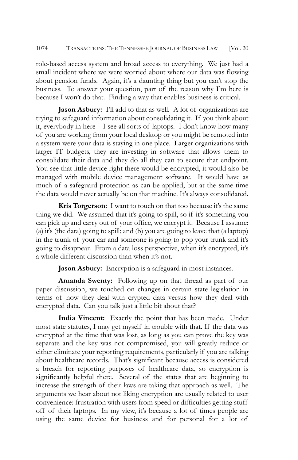role-based access system and broad access to everything. We just had a small incident where we were worried about where our data was flowing about pension funds. Again, it's a daunting thing but you can't stop the business. To answer your question, part of the reason why I'm here is because I won't do that. Finding a way that enables business is critical.

**Jason Asbury:** I'll add to that as well. A lot of organizations are trying to safeguard information about consolidating it. If you think about it, everybody in here—I see all sorts of laptops. I don't know how many of you are working from your local desktop or you might be remoted into a system were your data is staying in one place. Larger organizations with larger IT budgets, they are investing in software that allows them to consolidate their data and they do all they can to secure that endpoint. You see that little device right there would be encrypted, it would also be managed with mobile device management software. It would have as much of a safeguard protection as can be applied, but at the same time the data would never actually be on that machine. It's always consolidated.

**Kris Torgerson:** I want to touch on that too because it's the same thing we did. We assumed that it's going to spill, so if it's something you can pick up and carry out of your office, we encrypt it. Because I assume: (a) it's (the data) going to spill; and (b) you are going to leave that (a laptop) in the trunk of your car and someone is going to pop your trunk and it's going to disappear. From a data loss perspective, when it's encrypted, it's a whole different discussion than when it's not.

**Jason Asbury:** Encryption is a safeguard in most instances.

**Amanda Swenty:** Following up on that thread as part of our paper discussion, we touched on changes in certain state legislation in terms of how they deal with crypted data versus how they deal with encrypted data. Can you talk just a little bit about that?

**India Vincent:** Exactly the point that has been made. Under most state statutes, I may get myself in trouble with that. If the data was encrypted at the time that was lost, as long as you can prove the key was separate and the key was not compromised, you will greatly reduce or either eliminate your reporting requirements, particularly if you are talking about healthcare records. That's significant because access is considered a breach for reporting purposes of healthcare data, so encryption is significantly helpful there. Several of the states that are beginning to increase the strength of their laws are taking that approach as well. The arguments we hear about not liking encryption are usually related to user convenience: frustration with users from speed or difficulties getting stuff off of their laptops. In my view, it's because a lot of times people are using the same device for business and for personal for a lot of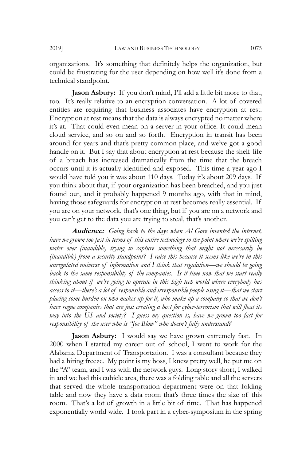organizations. It's something that definitely helps the organization, but could be frustrating for the user depending on how well it's done from a technical standpoint.

**Jason Asbury:** If you don't mind, I'll add a little bit more to that, too. It's really relative to an encryption conversation. A lot of covered entities are requiring that business associates have encryption at rest. Encryption at rest means that the data is always encrypted no matter where it's at. That could even mean on a server in your office. It could mean cloud service, and so on and so forth. Encryption in transit has been around for years and that's pretty common place, and we've got a good handle on it. But I say that about encryption at rest because the shelf life of a breach has increased dramatically from the time that the breach occurs until it is actually identified and exposed. This time a year ago I would have told you it was about 110 days. Today it's about 209 days. If you think about that, if your organization has been breached, and you just found out, and it probably happened 9 months ago, with that in mind, having those safeguards for encryption at rest becomes really essential. If you are on your network, that's one thing, but if you are on a network and you can't get to the data you are trying to steal, that's another.

**Audience:** *Going back to the days when Al Gore invented the internet, have we grown too fast in terms of this entire technology to the point where we're spilling water over (inaudible) trying to capture something that might not necessarily be (inaudible) from a security standpoint? I raise this because it seems like we're in this unregulated universe of information and I think that regulation—we should be going*  back to the same responsibility of the companies. Is it time now that we start really *thinking about if we're going to operate in this high tech world where everybody has access to it—there's a lot of responsible and irresponsible people using it—that we start placing some burden on who makes up for it, who make up a company so that we don't have rogue companies that are just creating a host for cyber-terrorism that will float its way into the US and society? I guess my question is, have we grown too fast for responsibility of the user who is "Joe Blow" who doesn't fully understand?* 

**Jason Asbury:** I would say we have grown extremely fast. In 2000 when I started my career out of school, I went to work for the Alabama Department of Transportation. I was a consultant because they had a hiring freeze. My point is my boss, I knew pretty well, he put me on the "A" team, and I was with the network guys. Long story short, I walked in and we had this cubicle area, there was a folding table and all the servers that served the whole transportation department were on that folding table and now they have a data room that's three times the size of this room. That's a lot of growth in a little bit of time. That has happened exponentially world wide. I took part in a cyber-symposium in the spring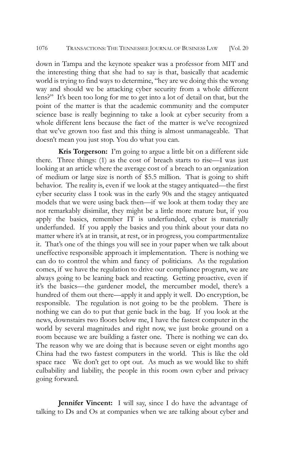down in Tampa and the keynote speaker was a professor from MIT and the interesting thing that she had to say is that, basically that academic world is trying to find ways to determine, "hey are we doing this the wrong way and should we be attacking cyber security from a whole different lens?" It's been too long for me to get into a lot of detail on that, but the point of the matter is that the academic community and the computer science base is really beginning to take a look at cyber security from a whole different lens because the fact of the matter is we've recognized that we've grown too fast and this thing is almost unmanageable. That doesn't mean you just stop. You do what you can.

**Kris Torgerson:** I'm going to argue a little bit on a different side there. Three things: (1) as the cost of breach starts to rise—I was just looking at an article where the average cost of a breach to an organization of medium or large size is north of \$5.5 million. That is going to shift behavior. The reality is, even if we look at the stagey antiquated—the first cyber security class I took was in the early 90s and the stagey antiquated models that we were using back then—if we look at them today they are not remarkably disimilar, they might be a little more mature but, if you apply the basics, remember IT is underfunded, cyber is materially underfunded. If you apply the basics and you think about your data no matter where it's at in transit, at rest, or in progress, you compartmentalize it. That's one of the things you will see in your paper when we talk about uneffective responsible approach it implementation. There is nothing we can do to control the whim and fancy of politicians. As the regulation comes, if we have the regulation to drive our compliance program, we are always going to be leaning back and reacting. Getting proactive, even if it's the basics—the gardener model, the mercumber model, there's a hundred of them out there—apply it and apply it well. Do encryption, be responsible. The regulation is not going to be the problem. There is nothing we can do to put that genie back in the bag. If you look at the news, downstairs two floors below me, I have the fastest computer in the world by several magnitudes and right now, we just broke ground on a room because we are building a faster one. There is nothing we can do. The reason why we are doing that is because seven or eight months ago China had the two fastest computers in the world. This is like the old space race We don't get to opt out. As much as we would like to shift culbability and liability, the people in this room own cyber and privacy going forward.

**Jennifer Vincent:** I will say, since I do have the advantage of talking to Ds and Os at companies when we are talking about cyber and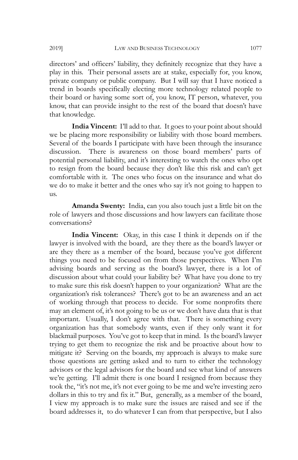directors' and officers' liability, they definitely recognize that they have a play in this. Their personal assets are at stake, especially for, you know, private company or public company. But I will say that I have noticed a trend in boards specifically electing more technology related people to their board or having some sort of, you know, IT person, whatever, you know, that can provide insight to the rest of the board that doesn't have that knowledge.

**India Vincent:** I'll add to that. It goes to your point about should we be placing more responsibility or liability with those board members. Several of the boards I participate with have been through the insurance discussion. There is awareness on those board members' parts of potential personal liability, and it's interesting to watch the ones who opt to resign from the board because they don't like this risk and can't get comfortable with it. The ones who focus on the insurance and what do we do to make it better and the ones who say it's not going to happen to us.

**Amanda Swenty:** India, can you also touch just a little bit on the role of lawyers and those discussions and how lawyers can facilitate those conversations?

**India Vincent:** Okay, in this case I think it depends on if the lawyer is involved with the board, are they there as the board's lawyer or are they there as a member of the board, because you've got different things you need to be focused on from those perspectives. When I'm advising boards and serving as the board's lawyer, there is a lot of discussion about what could your liability be? What have you done to try to make sure this risk doesn't happen to your organization? What are the organization's risk tolerances? There's got to be an awareness and an act of working through that process to decide. For some nonprofits there may an element of, it's not going to be us or we don't have data that is that important. Usually, I don't agree with that. There is something every organization has that somebody wants, even if they only want it for blackmail purposes. You've got to keep that in mind. Is the board's lawyer trying to get them to recognize the risk and be proactive about how to mitigate it? Serving on the boards, my approach is always to make sure those questions are getting asked and to turn to either the technology advisors or the legal advisors for the board and see what kind of answers we're getting. I'll admit there is one board I resigned from because they took the, "it's not me, it's not ever going to be me and we're investing zero dollars in this to try and fix it." But, generally, as a member of the board, I view my approach is to make sure the issues are raised and see if the board addresses it, to do whatever I can from that perspective, but I also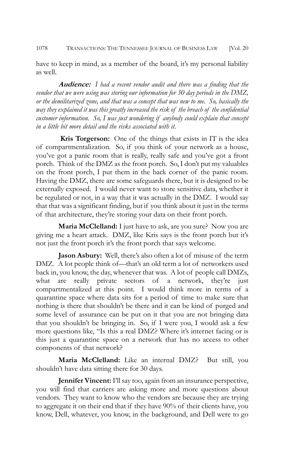1078 TRANSACTIONS: THE TENNESSEE JOURNAL OF BUSINESS LAW [Vol. 20

have to keep in mind, as a member of the board, it's my personal liability as well.

**Audience:** *I had a recent vendor audit and there was a finding that the vendor that we were using was storing our information for 30 day periods in the DMZ, or the demilitarized zone, and that was a concept that was new to me. So, basically the way they explained it was this greatly increased the risk of the breach of the confidential customer information. So, I was just wondering if anybody could explain that concept in a little bit more detail and the risks associated with it.*

**Kris Torgerson:** One of the things that exists in IT is the idea of compartmentalization. So, if you think of your network as a house, you've got a panic room that is really, really safe and you've got a front porch. Think of the DMZ as the front porch. So, I don't put my valuables on the front porch, I put them in the back corner of the panic room. Having the DMZ, there are some safeguards there, but it is designed to be externally exposed. I would never want to store sensitive data, whether it be regulated or not, in a way that it was actually in the DMZ. I would say that that was a significant finding, but if you think about it just in the terms of that architecture, they're storing your data on their front porch.

**Maria McClelland:** I just have to ask, are you sure? Now you are giving me a heart attack. DMZ, like Kris says is the front porch but it's not just the front porch it's the front porch that says welcome.

**Jason Asbury:** Well, there's also often a lot of misuse of the term DMZ. A lot people think of—that's an old term a lot of networkers used back in, you know, the day, whenever that was. A lot of people call DMZs, what are really private sectors of a network, they're just compartmentalized at this point. I would think more in terms of a quarantine space where data sits for a period of time to make sure that nothing is there that shouldn't be there and it can be kind of purged and some level of assurance can be put on it that you are not bringing data that you shouldn't be bringing in. So, if I were you, I would ask a few more questions like, "Is this a real DMZ? Where it's internet facing or is this just a quarantine space on a network that has no access to other components of that network?

**Maria McClelland:** Like an internal DMZ? But still, you shouldn't have data sitting there for 30 days.

**Jennifer Vincent:** I'll say too, again from an insurance perspective, you will find that carriers are asking more and more questions about vendors. They want to know who the vendors are because they are trying to aggregate it on their end that if they have 90% of their clients have, you know, Dell, whatever, you know, in the background, and Dell were to go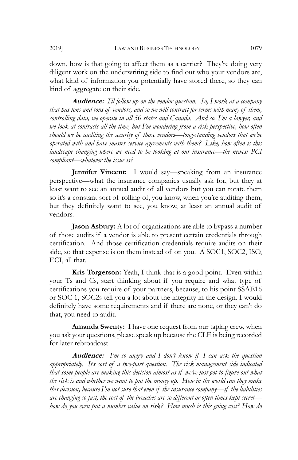down, how is that going to affect them as a carrier? They're doing very diligent work on the underwriting side to find out who your vendors are, what kind of information you potentially have stored there, so they can kind of aggregate on their side.

**Audience:** *I'll follow up on the vendor question. So, I work at a company that has tons and tons of vendors, and so we will contract for terms with many of them, controlling data, we operate in all 50 states and Canada. And so, I'm a lawyer, and we look at contracts all the time, but I'm wondering from a risk perspective, how often should we be auditing the security of those vendors*—*long-standing vendors that we've operated with and have master service agreements with them? Like, how often is this landscape changing where we need to be looking at our insurance*—*the newest PCI compliant*—*whatever the issue is?*

**Jennifer Vincent:** I would say—speaking from an insurance perspective—what the insurance companies usually ask for, but they at least want to see an annual audit of all vendors but you can rotate them so it's a constant sort of rolling of, you know, when you're auditing them, but they definitely want to see, you know, at least an annual audit of vendors.

**Jason Asbury:** A lot of organizations are able to bypass a number of those audits if a vendor is able to present certain credentials through certification. And those certification credentials require audits on their side, so that expense is on them instead of on you. A SOC1, SOC2, ISO, ECI, all that.

**Kris Torgerson:** Yeah, I think that is a good point. Even within your Ts and Cs, start thinking about if you require and what type of certifications you require of your partners, because, to his point SSAE16 or SOC 1, SOC2s tell you a lot about the integrity in the design. I would definitely have some requirements and if there are none, or they can't do that, you need to audit.

**Amanda Swenty:** I have one request from our taping crew, when you ask your questions, please speak up because the CLE is being recorded for later rebroadcast.

**Audience:** *I'm so angry and I don't know if I can ask the question appropriately. It's sort of a two-part question. The risk management side indicated that some people are making this decision almost as if we've just got to figure out what the risk is and whether we want to put the money up. How in the world can they make this decision, because I'm not sure that even if the insurance company—if the liabilities are changing so fast, the cost of the breaches are so different or often times kept secret how do you even put a number value on risk? How much is this going cost? How do*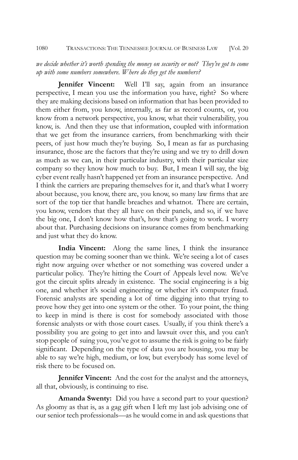*we decide whether it's worth spending the money on security or not? They've got to come up with some numbers somewhere. Where do they get the numbers?*

**Jennifer Vincent:** Well I'll say, again from an insurance perspective, I mean you use the information you have, right? So where they are making decisions based on information that has been provided to them either from, you know, internally, as far as record counts, or, you know from a network perspective, you know, what their vulnerability, you know, is. And then they use that information, coupled with information that we get from the insurance carriers, from benchmarking with their peers, of just how much they're buying. So, I mean as far as purchasing insurance, those are the factors that they're using and we try to drill down as much as we can, in their particular industry, with their particular size company so they know how much to buy. But, I mean I will say, the big cyber event really hasn't happened yet from an insurance perspective. And I think the carriers are preparing themselves for it, and that's what I worry about because, you know, there are, you know, so many law firms that are sort of the top tier that handle breaches and whatnot. There are certain, you know, vendors that they all have on their panels, and so, if we have the big one, I don't know how that's, how that's going to work. I worry about that. Purchasing decisions on insurance comes from benchmarking and just what they do know.

**India Vincent:** Along the same lines, I think the insurance question may be coming sooner than we think. We're seeing a lot of cases right now arguing over whether or not something was covered under a particular policy. They're hitting the Court of Appeals level now. We've got the circuit splits already in existence. The social engineering is a big one, and whether it's social engineering or whether it's computer fraud. Forensic analysts are spending a lot of time digging into that trying to prove how they get into one system or the other. To your point, the thing to keep in mind is there is cost for somebody associated with those forensic analysts or with those court cases. Usually, if you think there's a possibility you are going to get into and lawsuit over this, and you can't stop people of suing you, you've got to assume the risk is going to be fairly significant. Depending on the type of data you are housing, you may be able to say we're high, medium, or low, but everybody has some level of risk there to be focused on.

**Jennifer Vincent:** And the cost for the analyst and the attorneys, all that, obviously, is continuing to rise.

**Amanda Swenty:** Did you have a second part to your question? As gloomy as that is, as a gag gift when I left my last job advising one of our senior tech professionals—as he would come in and ask questions that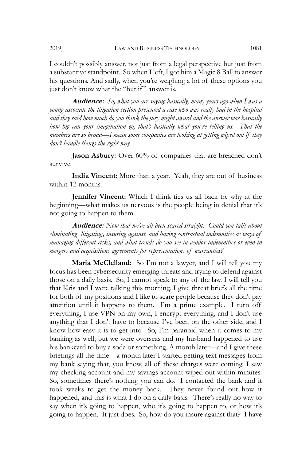I couldn't possibly answer, not just from a legal perspective but just from a substantive standpoint. So when I left, I got him a Magic 8 Ball to answer his questions. And sadly, when you're weighing a lot of these options you just don't know what the "but if" answer is.

**Audience:** *So, what you are saying basically, many years ago when I was a young associate the litigation section presented a case who was really bad in the hospital and they said how much do you think the jury might award and the answer was basically how big can your imagination go, that's basically what you're telling us. That the numbers are so broad—I mean some companies are looking at getting wiped out if they don't handle things the right way.*

**Jason Asbury:** Over 60% of companies that are breached don't survive.

**India Vincent:** More than a year. Yeah, they are out of business within 12 months.

**Jennifer Vincent:** Which I think ties us all back to, why at the beginning—what makes us nervous is the people being in denial that it's not going to happen to them.

**Audience:** *Now that we've all been scared straight. Could you talk about eliminating, litigating, insuring against, and having contractual indemnities as ways of managing different risks, and what trends do you see in vendor indemnities or even in mergers and acquisitions agreements for representations of warranties?*

**Maria McClelland:** So I'm not a lawyer, and I will tell you my focus has been cybersecurity emerging threats and trying to defend against those on a daily basis. So, I cannot speak to any of the law. I will tell you that Kris and I were talking this morning. I give threat briefs all the time for both of my positions and I like to scare people because they don't pay attention until it happens to them. I'm a prime example. I turn off everything, I use VPN on my own, I encrypt everything, and I don't use anything that I don't have to because I've been on the other side, and I know how easy it is to get into. So, I'm paranoid when it comes to my banking as well, but we were overseas and my husband happened to use his bankcard to buy a soda or something. A month later—and I give these briefings all the time—a month later I started getting text messages from my bank saying that, you know, all of these charges were coming. I saw my checking account and my savings account wiped out within minutes. So, sometimes there's nothing you can do. I contacted the bank and it took weeks to get the money back. They never found out how it happened, and this is what I do on a daily basis. There's really no way to say when it's going to happen, who it's going to happen to, or how it's going to happen. It just does. So, how do you insure against that? I have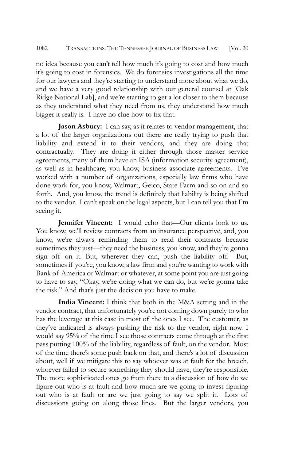no idea because you can't tell how much it's going to cost and how much it's going to cost in forensics. We do forensics investigations all the time for our lawyers and they're starting to understand more about what we do, and we have a very good relationship with our general counsel at [Oak Ridge National Lab], and we're starting to get a lot closer to them because as they understand what they need from us, they understand how much bigger it really is. I have no clue how to fix that.

**Jason Asbury:** I can say, as it relates to vendor management, that a lot of the larger organizations out there are really trying to push that liability and extend it to their vendors, and they are doing that contractually. They are doing it either through those master service agreements, many of them have an ISA (information security agreement), as well as in healthcare, you know, business associate agreements. I've worked with a number of organizations, especially law firms who have done work for, you know, Walmart, Geico, State Farm and so on and so forth. And, you know, the trend is definitely that liability is being shifted to the vendor. I can't speak on the legal aspects, but I can tell you that I'm seeing it.

**Jennifer Vincent:** I would echo that—Our clients look to us. You know, we'll review contracts from an insurance perspective, and, you know, we're always reminding them to read their contracts because sometimes they just—they need the business, you know, and they're gonna sign off on it. But, wherever they can, push the liability off. But, sometimes if you're, you know, a law firm and you're wanting to work with Bank of America or Walmart or whatever, at some point you are just going to have to say, "Okay, we're doing what we can do, but we're gonna take the risk." And that's just the decision you have to make.

**India Vincent:** I think that both in the M&A setting and in the vendor contract, that unfortunately you're not coming down purely to who has the leverage at this case in most of the ones I see. The customer, as they've indicated is always pushing the risk to the vendor, right now. I would say 95% of the time I see those contracts come through at the first pass putting 100% of the liability, regardless of fault, on the vendor. Most of the time there's some push back on that, and there's a lot of discussion about, well if we mitigate this to say whoever was at fault for the breach, whoever failed to secure something they should have, they're responsible. The more sophisticated ones go from there to a discussion of how do we figure out who is at fault and how much are we going to invest figuring out who is at fault or are we just going to say we split it. Lots of discussions going on along those lines. But the larger vendors, you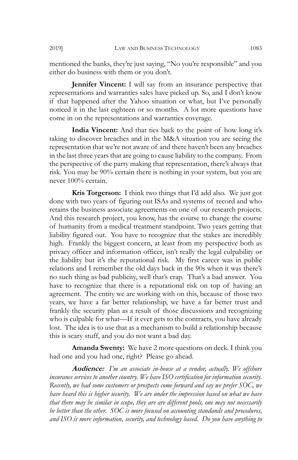mentioned the banks, they're just saying, "No you're responsible" and you either do business with them or you don't.

**Jennifer Vincent:** I will say from an insurance perspective that representations and warranties sales have picked up. So, and I don't know if that happened after the Yahoo situation or what, but I've personally noticed it in the last eighteen or so months. A lot more questions have come in on the representations and warranties coverage.

**India Vincent:** And that ties back to the point of how long it's taking to discover breaches and in the M&A situation you are seeing the representation that we're not aware of and there haven't been any breaches in the last three years that are going to cause liability to the company. From the perspective of the party making that representation, there's always that risk. You may be 90% certain there is nothing in your system, but you are never 100% certain.

**Kris Torgerson:** I think two things that I'd add also. We just got done with two years of figuring out ISAs and systems of record and who retains the business associate agreements on one of our research projects. And this research project, you know, has the course to change the course of humanity from a medical treatment standpoint. Two years getting that liability figured out. You have to recognize that the stakes are incredibly high. Frankly the biggest concern, at least from my perspective both as privacy officer and information officer, isn't really the legal culpability or the liability but it's the reputational risk. My first career was in public relations and I remember the old days back in the 90s when it was there's no such thing as bad publicity, well that's crap. That's a bad answer. You have to recognize that there is a reputational risk on top of having an agreement. The entity we are working with on this, because of those two years, we have a far better relationship, we have a far better trust and frankly the security plan as a result of those discussions and recognizing who is culpable for what—If it ever gets to the contracts, you have already lost. The idea is to use that as a mechanism to build a relationship because this is scary stuff, and you do not want a bad day.

**Amanda Swenty:** We have 2 more questions on deck. I think you had one and you had one, right? Please go ahead.

**Audience:** *I'm an associate in-house at a vendor, actually. We offshore insurance services to another country. We have ISO certification for information security. Recently, we had some customers or prospects come forward and say we prefer SOC, we have heard this is higher security.* We are under the impression based on what we have *that there may be similar in scope, they are are different pools, one may not necessarily be better than the other. SOC is more focused on accounting standands and procedures, and ISO is more information, security, and technology based. Do you have anything to*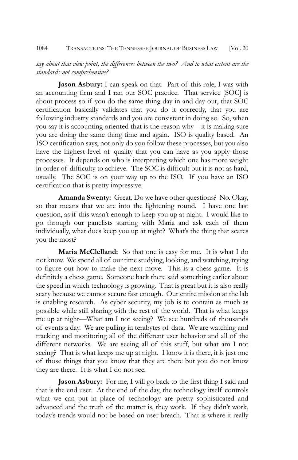## *say about that view point, the differences between the two? And to what extent are the standards not comprehensive?*

**Jason Asbury:** I can speak on that. Part of this role, I was with an accounting firm and I ran our SOC practice. That service [SOC] is about process so if you do the same thing day in and day out, that SOC certification basically validates that you do it correctly, that you are following industry standards and you are consistent in doing so. So, when you say it is accounting oriented that is the reason why—it is making sure you are doing the same thing time and again. ISO is quality based. An ISO certification says, not only do you follow these processes, but you also have the highest level of quality that you can have as you apply those processes. It depends on who is interpreting which one has more weight in order of difficulty to achieve. The SOC is difficult but it is not as hard, usually. The SOC is on your way up to the ISO. If you have an ISO certification that is pretty impressive.

**Amanda Swenty:** Great. Do we have other questions? No. Okay, so that means that we are into the lightening round. I have one last question, as if this wasn't enough to keep you up at night. I would like to go through our panelists starting with Maria and ask each of them individually, what does keep you up at night? What's the thing that scares you the most?

**Maria McClelland:** So that one is easy for me. It is what I do not know. We spend all of our time studying, looking, and watching, trying to figure out how to make the next move. This is a chess game. It is definitely a chess game. Someone back there said something earlier about the speed in which technology is growing. That is great but it is also really scary because we cannot secure fast enough. Our entire mission at the lab is enabling research. As cyber security, my job is to contain as much as possible while still sharing with the rest of the world. That is what keeps me up at night—What am I not seeing? We see hundreds of thousands of events a day. We are pulling in terabytes of data. We are watching and tracking and monitoring all of the different user behavior and all of the different networks. We are seeing all of this stuff, but what am I not seeing? That is what keeps me up at night. I know it is there, it is just one of those things that you know that they are there but you do not know they are there. It is what I do not see.

**Jason Asbury:** For me, I will go back to the first thing I said and that is the end user. At the end of the day, the technology itself controls what we can put in place of technology are pretty sophisticated and advanced and the truth of the matter is, they work. If they didn't work, today's trends would not be based on user breach. That is where it really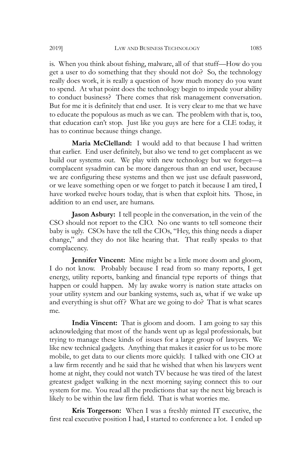is. When you think about fishing, malware, all of that stuff—How do you get a user to do something that they should not do? So, the technology really does work, it is really a question of how much money do you want to spend. At what point does the technology begin to impede your ability to conduct business? There comes that risk management conversation. But for me it is definitely that end user. It is very clear to me that we have to educate the populous as much as we can. The problem with that is, too, that education can't stop. Just like you guys are here for a CLE today, it has to continue because things change.

**Maria McClelland:** I would add to that because I had written that earlier. End user definitely, but also we tend to get complacent as we build our systems out. We play with new technology but we forget—a complacent sysadmin can be more dangerous than an end user, because we are configuring these systems and then we just use default password, or we leave something open or we forget to patch it because I am tired, I have worked twelve hours today, that is when that exploit hits. Those, in addition to an end user, are humans.

**Jason Asbury:** I tell people in the conversation, in the vein of the CSO should not report to the CIO. No one wants to tell someone their baby is ugly. CSOs have the tell the CIOs, "Hey, this thing needs a diaper change," and they do not like hearing that. That really speaks to that complacency.

**Jennifer Vincent:** Mine might be a little more doom and gloom, I do not know. Probably because I read from so many reports, I get energy, utility reports, banking and financial type reports of things that happen or could happen. My lay awake worry is nation state attacks on your utility system and our banking systems, such as, what if we wake up and everything is shut off? What are we going to do? That is what scares me.

**India Vincent:** That is gloom and doom. I am going to say this acknowledging that most of the hands went up as legal professionals, but trying to manage these kinds of issues for a large group of lawyers. We like new technical gadgets. Anything that makes it easier for us to be more mobile, to get data to our clients more quickly. I talked with one CIO at a law firm recently and he said that he wished that when his lawyers went home at night, they could not watch TV because he was tired of the latest greatest gadget walking in the next morning saying connect this to our system for me. You read all the predictions that say the next big breach is likely to be within the law firm field. That is what worries me.

**Kris Torgerson:** When I was a freshly minted IT executive, the first real executive position I had, I started to conference a lot. I ended up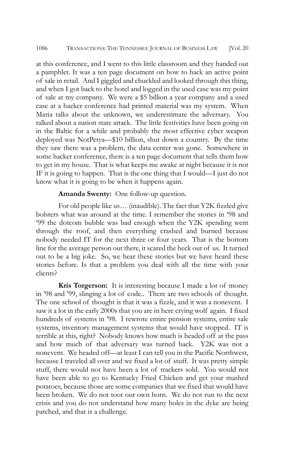at this conference, and I went to this little classroom and they handed out a pamphlet. It was a ten page document on how to hack an active point of sale in retail. And I giggled and chuckled and looked through this thing, and when I got back to the hotel and logged in the used case was my point of sale at my company. We were a \$5 billion a year company and a used case at a hacker conference had printed material was my system. When Maria talks about the unknown, we underestimate the adversary. You talked about a nation state attack. The little festivities have been going on in the Baltic for a while and probably the most effective cyber weapon deployed was NotPetya—\$10 billion, shut down a country. By the time they saw there was a problem, the data center was gone. Somewhere in some hacker conference, there is a ten page document that tells them how to get in my house. That is what keeps me awake at night because it is not IF it is going to happen. That is the one thing that I would—I just do not know what it is going to be when it happens again.

## **Amanda Swenty:** One follow-up question.

For old people like us… (inaudible). The fact that Y2K fizzled give bolsters what was around at the time. I remember the stories in '98 and '99 the dotcom bubble was bad enough when the Y2K spending went through the roof, and then everything crashed and burned because nobody needed IT for the next three or four years. That is the bottom line for the average person out there, it scared the heck out of us. It turned out to be a big joke. So, we hear these stories but we have heard these stories before. Is that a problem you deal with all the time with your clients?

**Kris Torgerson:** It is interesting because I made a lot of money in '98 and '99, slinging a lot of code.. There are two schools of thought. The one school of thought is that it was a fizzle, and it was a nonevent. I saw it a lot in the early 2000s that you are in here crying wolf again. I fixed hundreds of systems in '98. I rewrote entire pension systems, entire sale systems, inventory management systems that would have stopped. IT is terrible at this, right? Nobody knows how much is headed off at the pass and how much of that adversary was turned back. Y2K was not a nonevent. We headed off—at least I can tell you in the Pacific Northwest, because I traveled all over and we fixed a lot of stuff. It was pretty simple stuff, there would not have been a lot of trackers sold. You would not have been able to go to Kentucky Fried Chicken and get your mashed potatoes, because those are some companies that we fixed that would have been broken. We do not toot our own horn. We do not run to the next crisis and you do not understand how many holes in the dyke are being patched, and that is a challenge.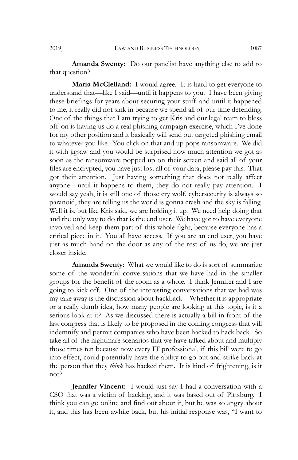**Amanda Swenty:** Do our panelist have anything else to add to that question?

**Maria McClelland:** I would agree. It is hard to get everyone to understand that—like I said—until it happens to you. I have been giving these briefings for years about securing your stuff and until it happened to me, it really did not sink in because we spend all of our time defending. One of the things that I am trying to get Kris and our legal team to bless off on is having us do a real phishing campaign exercise, which I've done for my other position and it basically will send out targeted phishing email to whatever you like. You click on that and up pops ransomware. We did it with jigsaw and you would be surprised how much attention we got as soon as the ransomware popped up on their screen and said all of your files are encrypted, you have just lost all of your data, please pay this. That got their attention. Just having something that does not really affect anyone—until it happens to them, they do not really pay attention. I would say yeah, it is still one of those cry wolf, cybersecurity is always so paranoid, they are telling us the world is gonna crash and the sky is falling. Well it is, but like Kris said, we are holding it up. We need help doing that and the only way to do that is the end user. We have got to have everyone involved and keep them part of this whole fight, because everyone has a critical piece in it. You all have access. If you are an end user, you have just as much hand on the door as any of the rest of us do, we are just closer inside.

**Amanda Swenty:** What we would like to do is sort of summarize some of the wonderful conversations that we have had in the smaller groups for the benefit of the room as a whole. I think Jennifer and I are going to kick off. One of the interesting conversations that we had was my take away is the discussion about hackback—Whether it is appropriate or a really dumb idea, how many people are looking at this topic, is it a serious look at it? As we discussed there is actually a bill in front of the last congress that is likely to be proposed in the coming congress that will indemnify and permit companies who have been hacked to hack back. So take all of the nightmare scenarios that we have talked about and multiply those times ten because now every IT professional, if this bill were to go into effect, could potentially have the ability to go out and strike back at the person that they *think* has hacked them. It is kind of frightening, is it not?

**Jennifer Vincent:** I would just say I had a conversation with a CSO that was a victim of hacking, and it was based out of Pittsburg. I think you can go online and find out about it, but he was so angry about it, and this has been awhile back, but his initial response was, "I want to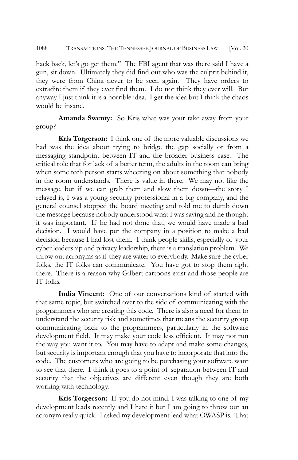hack back, let's go get them." The FBI agent that was there said I have a gun, sit down. Ultimately they did find out who was the culprit behind it, they were from China never to be seen again. They have orders to extradite them if they ever find them. I do not think they ever will. But anyway I just think it is a horrible idea. I get the idea but I think the chaos would be insane.

**Amanda Swenty:** So Kris what was your take away from your group?

**Kris Torgerson:** I think one of the more valuable discussions we had was the idea about trying to bridge the gap socially or from a messaging standpoint between IT and the broader business case. The critical role that for lack of a better term, the adults in the room can bring when some tech person starts wheezing on about something that nobody in the room understands. There is value in there. We may not like the message, but if we can grab them and slow them down—the story I relayed is, I was a young security professional in a big company, and the general counsel stopped the board meeting and told me to dumb down the message because nobody understood what I was saying and he thought it was important. If he had not done that, we would have made a bad decision. I would have put the company in a position to make a bad decision because I had lost them. I think people skills, especially of your cyber leadership and privacy leadership, there is a translation problem. We throw out acronyms as if they are water to everybody. Make sure the cyber folks, the IT folks can communicate. You have got to stop them right there. There is a reason why Gilbert cartoons exist and those people are IT folks.

**India Vincent:** One of our conversations kind of started with that same topic, but switched over to the side of communicating with the programmers who are creating this code. There is also a need for them to understand the security risk and sometimes that means the security group communicating back to the programmers, particularly in the software development field. It may make your code less efficient. It may not run the way you want it to. You may have to adapt and make some changes, but security is important enough that you have to incorporate that into the code. The customers who are going to be purchasing your software want to see that there. I think it goes to a point of separation between IT and security that the objectives are different even though they are both working with technology.

**Kris Torgerson:** If you do not mind. I was talking to one of my development leads recently and I hate it but I am going to throw out an acronym really quick. I asked my development lead what OWASP is. That